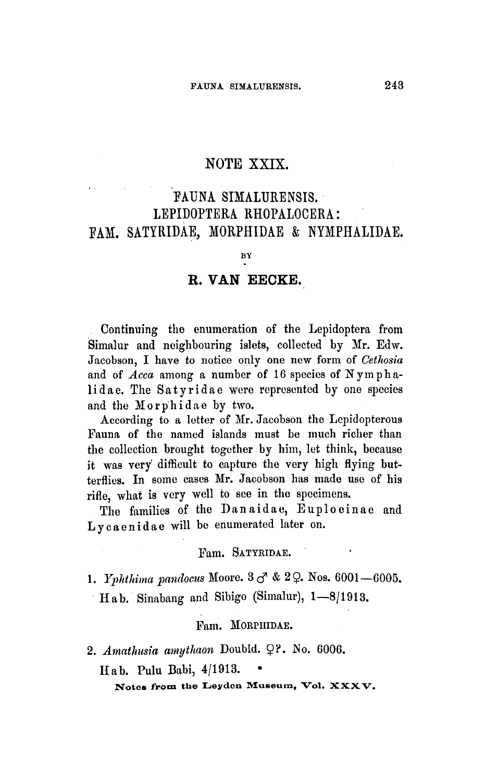# NOTE XXIX.

# Fauna Simalurensis. Lepidoptera Rhopalocera: fam. Satyridae, Morphidae & Nymphalidae

BY

# R. van Eecke

Continuing the enumeration of the Lepidoptera from Simalur and neighbouring islets, collected by Mr. Edw. Jacobson, I have to notice only one new form of Cethosia and of Acca among a number of 16 species of Nymphalidae. The Satyridae were represented by one species and the Morphidae by two.

According to a letter of Mr. Jacobson the Lepidopterous Fauna of the named islands must be much richer than the collection brought together by him, let think, because it was very difficult to capture the very high flying butterflies. In some cases Mr. Jacobson has made use of his rifle, what is very well to see in the specimens.

The families of the Dan aidae, Euploeinae and Lycaenidae will be enumerated later on.

#### Fam. SATYRIDAE.

1. Yphthima pandocus Moore.  $3 \, \sigma \, \& 2 \, \Omega$ . Nos.  $6001 - 6005$ . Hab. Sinabang and Sibigo (Simalur), 1—8/1913.

## Fam. MORPHIDAE.

2. Amathusia amythaon Doubld.  $Q$ ?. No. 6006.

Hab. Pulu Babi, 4/1913. •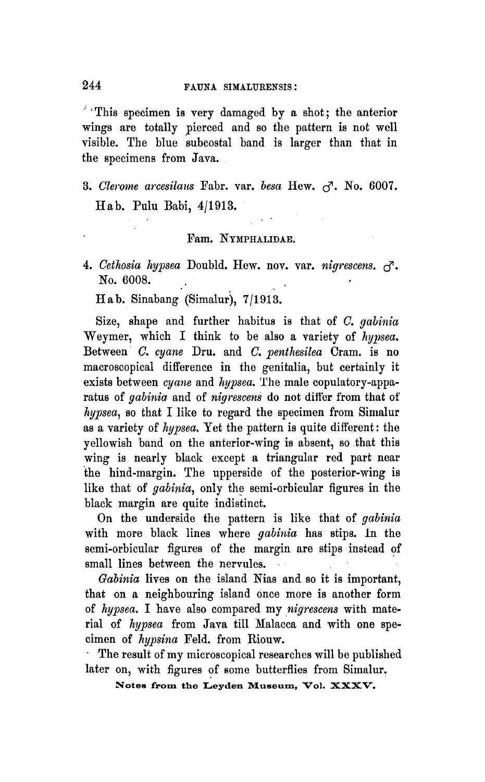This specimen is very damaged by a shot; the anterior wings are totally pierced and so the pattern is not well visible. The blue subcostal band is larger than that in the specimens from Java.

3. Clerome arcesilaus Fabr. var. besa Hew.  $\zeta^7$ . No. 6007. Hab. Pulu Eabi, 4/1913.

## Fam. NYMPHALIDAE.

4. Cethosia hypsea Doubld. Hew. nov. var. nigrescens.  $\sigma$ . No. 6008.

Hab. Sinabang (Simalur), 7/1913.

Size, shape and further habitus is that of C. gabinia Weymer, which I think to be also <sup>a</sup> variety of hypsea. Between C. cyane Dru. and C. penthesilea Cram, is no macroscopical difference in the genitalia, but certainly it exists between cyane and hypsea. The male copulatory-apparatus of gabinia and of nigrescens do not differ from that of hypsea, so that I like to regard the specimen from Simalur as <sup>a</sup> variety of hypsea. Yet the pattern is quite different: the yellowish band on the anterior-wing is absent, so that this wing is nearly black except a triangular red part near the hind-margin. The upperside of the posterior-wing is like that of *gabinia*, only the semi-orbicular figures in the black margin are quite indistinct.

On the underside the pattern is like that of gabinia with more black lines where *gabinia* has stips. In the semi-orbicular figures of the margin are stips instead of small lines between the nervules.

Gabinia lives on the island Nias and so it is important, that on a neighbouring island once more is another form of hypsea. I have also compared my nigrescens with material of hypsea from Java till Malacca and with one specimen of hypsina Feld. from Riouw.

The result of my microscopical researches will be published later on, with figures of some butterflies from Simalur.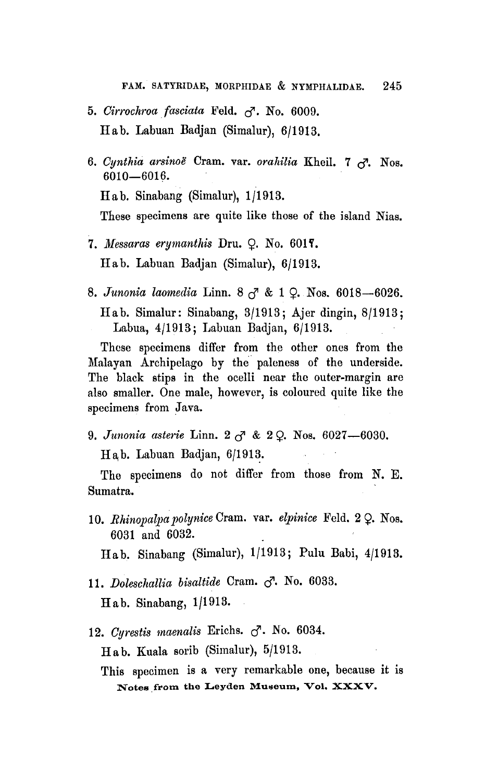- 5. Cirrochroa fasciata Feld.  $\sigma$ . No. 6009. Hab. Labuan Badjan (Simalur), 6/1913.
- 6. Cynthia arsinoë Cram. var. orahilia Kheil. 7  $\sigma$ . Nos. 6010—6016. Hab. Sinabang (Simalur), 1/1913. These specimens are quite like those of the island Nias.
- 7. Messaras erymanthis Dru.  $Q.$  No. 6017. Hab. Labuan Badjan (Simalur), 6/1913.
- 8. Junonia laomedia Linn. 8  $_{\circ}$ <sup>7</sup> & 1  $_{\circ}$ . Nos. 6018-6026. Ilab. Simalur: Sinabang, 3/1913; Ajer dingin, 8/1913; Labua, 4/1913; Labuan Badjan, 6/1913.

These specimens differ from the other ones from the Malayan Archipelago by the paleness of the underside. The black stips in the ocelli near the outer-margin are also smaller. One male, however, is coloured quite like the specimens from Java.

9. Junonia asterie Linn.  $2 \, \sigma \,$  &  $2 \, \Omega$ . Nos. 6027-6030.

Hab. Labuan Badjan, 6/1913.

The specimens do not differ from those from N. E. Sumatra.

10. Rhinopalpa polynice Cram. var. elpinice Feld.  $2 \Omega$ . Nos. 6031 and 6032.

Hab. Sinabang (Simalur), 1/1913; Pulu Babi, 4/1913.

11. Doleschallia bisaltide Cram.  $\sigma$ . No. 6033.

Hab. Sinabang, 1/1913.

12. Cyrestis maenalis Erichs.  $\sigma$ . No. 6034.

Hab. Kuala sorib (Simalur), 5/1913.

Notes from the Leyden Museum, Vol. XXXV. This specimen is <sup>a</sup> very remarkable one, because it is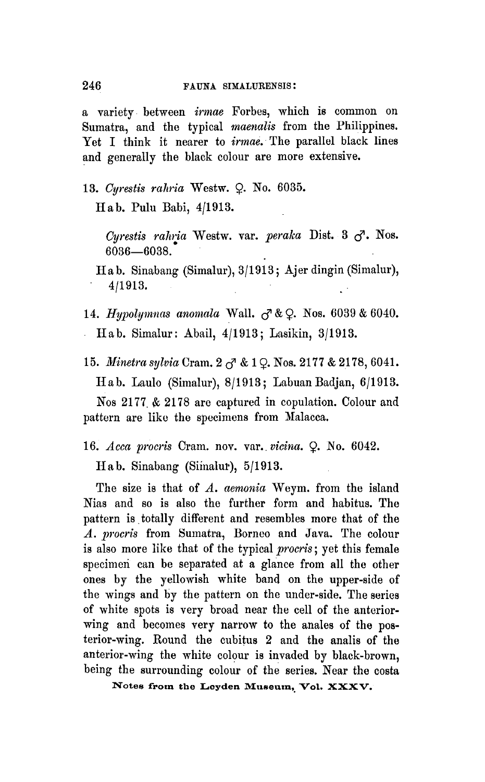<sup>a</sup> variety between irmae Forbes, which is common on Sumatra, and the typical maenalis from the Philippines. Yet I think it nearer to *irmae*. The parallel black lines and generally the black colour are more extensive.

13. Cyrestis rahria Westw.  $Q$ . No. 6035.

II <sup>a</sup> b. Pulu Babi, 4/1913.

Cyrestis rahria Westw. var. peraka Dist. 3  $\sigma$ . Nos. 6036—G038.

Ilab. Sinabang (Simalur), 3/1913; Ajer dingin (Simalur), 4/1913.

14. Hypolymnas anomala Wall.  $\sigma \& Q$ . Nos. 6039 & 6040. Ilab. Simalur: Abail, 4/1913; Lasikin, 3/1913.

15. Minetra sylvia Cram.  $2 \, \sigma \, \& 1 \, \Omega$ . Nos. 2177 & 2178, 6041.

Hab. Laulo (Simalur), 8/1913; Labuan Badjan, 6/1913.

Nos 2177 & 2178 are captured in copulation. Colour and pattern are like the specimens from Malacca.

16. Acca procris Cram. nov. var. vicina. Q. No. 6042.

Ilab. Sinabang (Simalur), 5/1913.

The size is that of  $A$ , aemonia Weym. from the island Nias and so is also the further form and habitus. The pattern is totally different and resembles more that of the A. procris from Sumatra, Borneo and Java. The colour is also more like that of the typical *procris*; yet this female specimen can be separated at <sup>a</sup> glance from all the other ones by the yellowish white band on the upper-side of the wings and by the pattern on the under-side. The series of white spots is very broad near the cell of the anteriorwing and becomes very narrow to the anales of the posterior-wing. Round the cubitus <sup>2</sup> and the analis of the anterior-wing the white colour is invaded by black-brown, being the surrounding colour of the series. Near the costa